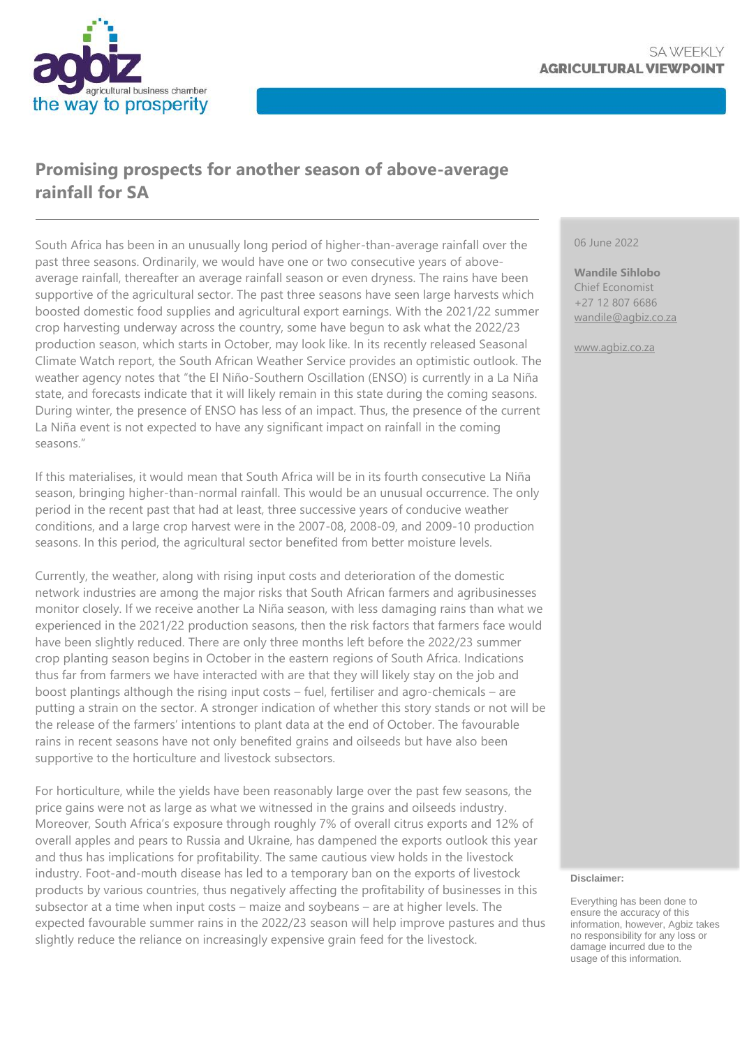

## **Promising prospects for another season of above-average rainfall for SA**

South Africa has been in an unusually long period of higher-than-average rainfall over the past three seasons. Ordinarily, we would have one or two consecutive years of aboveaverage rainfall, thereafter an average rainfall season or even dryness. The rains have been supportive of the agricultural sector. The past three seasons have seen large harvests which boosted domestic food supplies and agricultural export earnings. With the 2021/22 summer crop harvesting underway across the country, some have begun to ask what the 2022/23 production season, which starts in October, may look like. In its recently released Seasonal Climate Watch report, the South African Weather Service provides an optimistic outlook. The weather agency notes that "the El Niño-Southern Oscillation (ENSO) is currently in a La Niña state, and forecasts indicate that it will likely remain in this state during the coming seasons. During winter, the presence of ENSO has less of an impact. Thus, the presence of the current La Niña event is not expected to have any significant impact on rainfall in the coming seasons."

If this materialises, it would mean that South Africa will be in its fourth consecutive La Niña season, bringing higher-than-normal rainfall. This would be an unusual occurrence. The only period in the recent past that had at least, three successive years of conducive weather conditions, and a large crop harvest were in the 2007-08, 2008-09, and 2009-10 production seasons. In this period, the agricultural sector benefited from better moisture levels.

Currently, the weather, along with rising input costs and deterioration of the domestic network industries are among the major risks that South African farmers and agribusinesses monitor closely. If we receive another La Niña season, with less damaging rains than what we experienced in the 2021/22 production seasons, then the risk factors that farmers face would have been slightly reduced. There are only three months left before the 2022/23 summer crop planting season begins in October in the eastern regions of South Africa. Indications thus far from farmers we have interacted with are that they will likely stay on the job and boost plantings although the rising input costs – fuel, fertiliser and agro-chemicals – are putting a strain on the sector. A stronger indication of whether this story stands or not will be the release of the farmers' intentions to plant data at the end of October. The favourable rains in recent seasons have not only benefited grains and oilseeds but have also been supportive to the horticulture and livestock subsectors.

For horticulture, while the yields have been reasonably large over the past few seasons, the price gains were not as large as what we witnessed in the grains and oilseeds industry. Moreover, South Africa's exposure through roughly 7% of overall citrus exports and 12% of overall apples and pears to Russia and Ukraine, has dampened the exports outlook this year and thus has implications for profitability. The same cautious view holds in the livestock industry. Foot-and-mouth disease has led to a temporary ban on the exports of livestock products by various countries, thus negatively affecting the profitability of businesses in this subsector at a time when input costs – maize and soybeans – are at higher levels. The expected favourable summer rains in the 2022/23 season will help improve pastures and thus slightly reduce the reliance on increasingly expensive grain feed for the livestock.

#### 06 June 2022

**Wandile Sihlobo** Chief Economist +27 12 807 6686 [wandile@agbiz.co.za](mailto:wandile@agbiz.co.za)

[www.agbiz.co.za](http://www.agbiz.co.za/)

#### **Disclaimer:**

Everything has been done to ensure the accuracy of this information, however, Agbiz takes no responsibility for any loss or damage incurred due to the usage of this information.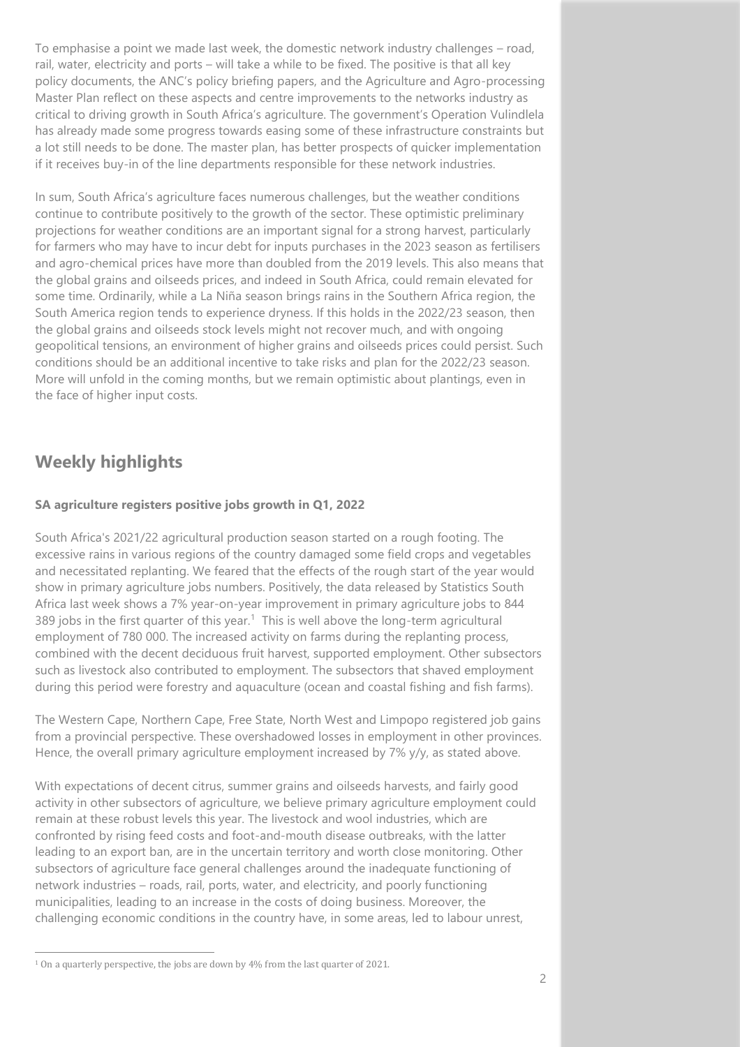To emphasise a point we made last week, the domestic network industry challenges – road, rail, water, electricity and ports – will take a while to be fixed. The positive is that all key policy documents, the ANC's policy briefing papers, and the Agriculture and Agro-processing Master Plan reflect on these aspects and centre improvements to the networks industry as critical to driving growth in South Africa's agriculture. The government's Operation Vulindlela has already made some progress towards easing some of these infrastructure constraints but a lot still needs to be done. The master plan, has better prospects of quicker implementation if it receives buy-in of the line departments responsible for these network industries.

In sum, South Africa's agriculture faces numerous challenges, but the weather conditions continue to contribute positively to the growth of the sector. These optimistic preliminary projections for weather conditions are an important signal for a strong harvest, particularly for farmers who may have to incur debt for inputs purchases in the 2023 season as fertilisers and agro-chemical prices have more than doubled from the 2019 levels. This also means that the global grains and oilseeds prices, and indeed in South Africa, could remain elevated for some time. Ordinarily, while a La Niña season brings rains in the Southern Africa region, the South America region tends to experience dryness. If this holds in the 2022/23 season, then the global grains and oilseeds stock levels might not recover much, and with ongoing geopolitical tensions, an environment of higher grains and oilseeds prices could persist. Such conditions should be an additional incentive to take risks and plan for the 2022/23 season. More will unfold in the coming months, but we remain optimistic about plantings, even in the face of higher input costs.

### **Weekly highlights**

#### **SA agriculture registers positive jobs growth in Q1, 2022**

South Africa's 2021/22 agricultural production season started on a rough footing. The excessive rains in various regions of the country damaged some field crops and vegetables and necessitated replanting. We feared that the effects of the rough start of the year would show in primary agriculture jobs numbers. Positively, the data released by Statistics South Africa last week shows a 7% year-on-year improvement in primary agriculture jobs to 844 389 jobs in the first quarter of this year.<sup>1</sup> This is well above the long-term agricultural employment of 780 000. The increased activity on farms during the replanting process, combined with the decent deciduous fruit harvest, supported employment. Other subsectors such as livestock also contributed to employment. The subsectors that shaved employment during this period were forestry and aquaculture (ocean and coastal fishing and fish farms).

The Western Cape, Northern Cape, Free State, North West and Limpopo registered job gains from a provincial perspective. These overshadowed losses in employment in other provinces. Hence, the overall primary agriculture employment increased by 7% y/y, as stated above.

With expectations of decent citrus, summer grains and oilseeds harvests, and fairly good activity in other subsectors of agriculture, we believe primary agriculture employment could remain at these robust levels this year. The livestock and wool industries, which are confronted by rising feed costs and foot-and-mouth disease outbreaks, with the latter leading to an export ban, are in the uncertain territory and worth close monitoring. Other subsectors of agriculture face general challenges around the inadequate functioning of network industries – roads, rail, ports, water, and electricity, and poorly functioning municipalities, leading to an increase in the costs of doing business. Moreover, the challenging economic conditions in the country have, in some areas, led to labour unrest,

<sup>1</sup> On a quarterly perspective, the jobs are down by 4% from the last quarter of 2021.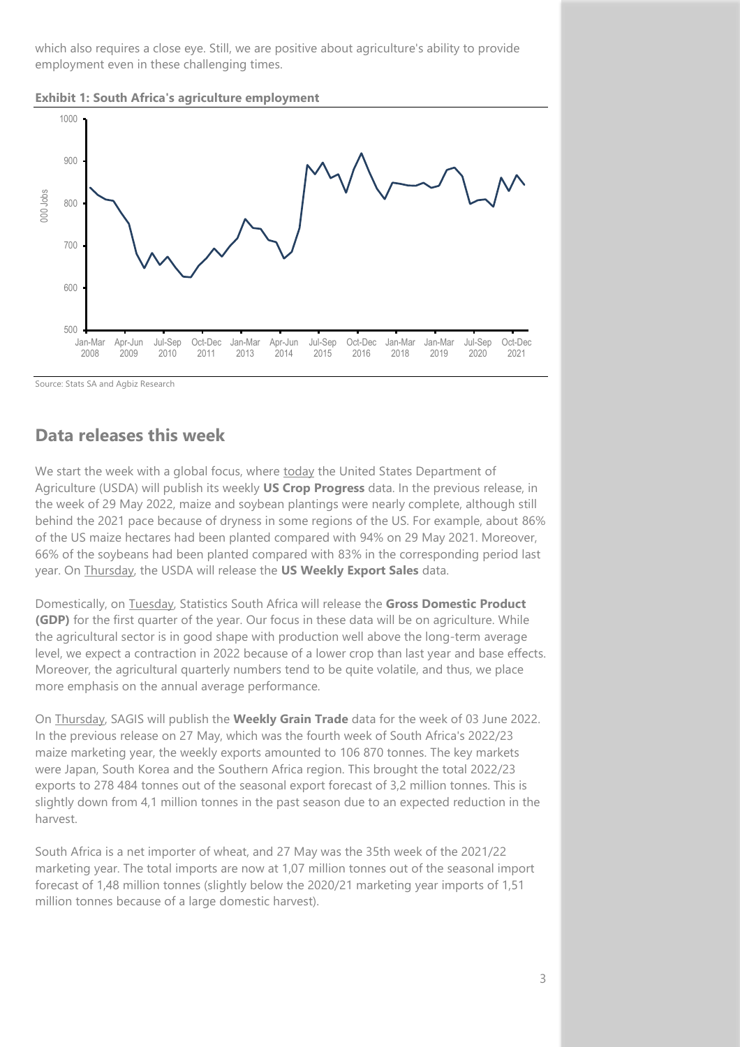which also requires a close eye. Still, we are positive about agriculture's ability to provide employment even in these challenging times.

**Exhibit 1: South Africa's agriculture employment**



Source: Stats SA and Agbiz Research

### **Data releases this week**

We start the week with a global focus, where today the United States Department of Agriculture (USDA) will publish its weekly **US Crop Progress** data. In the previous release, in the week of 29 May 2022, maize and soybean plantings were nearly complete, although still behind the 2021 pace because of dryness in some regions of the US. For example, about 86% of the US maize hectares had been planted compared with 94% on 29 May 2021. Moreover, 66% of the soybeans had been planted compared with 83% in the corresponding period last year. On Thursday, the USDA will release the **US Weekly Export Sales** data.

Domestically, on Tuesday, Statistics South Africa will release the **Gross Domestic Product (GDP)** for the first quarter of the year. Our focus in these data will be on agriculture. While the agricultural sector is in good shape with production well above the long-term average level, we expect a contraction in 2022 because of a lower crop than last year and base effects. Moreover, the agricultural quarterly numbers tend to be quite volatile, and thus, we place more emphasis on the annual average performance.

On Thursday, SAGIS will publish the **Weekly Grain Trade** data for the week of 03 June 2022. In the previous release on 27 May, which was the fourth week of South Africa's 2022/23 maize marketing year, the weekly exports amounted to 106 870 tonnes. The key markets were Japan, South Korea and the Southern Africa region. This brought the total 2022/23 exports to 278 484 tonnes out of the seasonal export forecast of 3,2 million tonnes. This is slightly down from 4,1 million tonnes in the past season due to an expected reduction in the harvest.

South Africa is a net importer of wheat, and 27 May was the 35th week of the 2021/22 marketing year. The total imports are now at 1,07 million tonnes out of the seasonal import forecast of 1,48 million tonnes (slightly below the 2020/21 marketing year imports of 1,51 million tonnes because of a large domestic harvest).